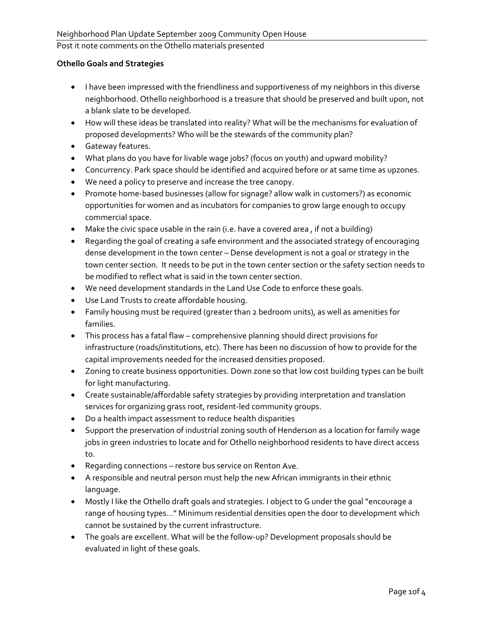## **Othello Goals and Strategies**

- I have been impressed with the friendliness and supportiveness of my neighbors in this diverse neighborhood. Othello neighborhood is a treasure that should be preserved and built upon, not a blank slate to be developed.
- How will these ideas be translated into reality? What will be the mechanisms for evaluation of proposed developments? Who will be the stewards of the community plan?
- Gateway features.
- What plans do you have for livable wage jobs? (focus on youth) and upward mobility?
- Concurrency. Park space should be identified and acquired before or at same time as upzones.
- We need a policy to preserve and increase the tree canopy.
- Promote home‐based businesses (allow for signage? allow walk in customers?) as economic opportunities for women and as incubators for companies to grow large enough to occupy commercial space.
- Make the civic space usable in the rain (i.e. have a covered area , if not a building)
- Regarding the goal of creating a safe environment and the associated strategy of encouraging dense development in the town center – Dense development is not a goal or strategy in the town center section. It needs to be put in the town center section or the safety section needs to be modified to reflect what is said in the town center section.
- We need development standards in the Land Use Code to enforce these goals.
- Use Land Trusts to create affordable housing.
- Family housing must be required (greater than 2 bedroom units), as well as amenities for families.
- This process has a fatal flaw comprehensive planning should direct provisions for infrastructure (roads/institutions, etc). There has been no discussion of how to provide for the capital improvements needed for the increased densities proposed.
- Zoning to create business opportunities. Down zone so that low cost building types can be built for light manufacturing.
- Create sustainable/affordable safety strategies by providing interpretation and translation services for organizing grass root, resident‐led community groups.
- Do a health impact assessment to reduce health disparities
- Support the preservation of industrial zoning south of Henderson as a location for family wage jobs in green industries to locate and for Othello neighborhood residents to have direct access to.
- Regarding connections restore bus service on Renton Ave.
- A responsible and neutral person must help the new African immigrants in their ethnic language.
- Mostly I like the Othello draft goals and strategies. I object to G under the goal "encourage a range of housing types…" Minimum residential densities open the door to development which cannot be sustained by the current infrastructure.
- The goals are excellent. What will be the follow‐up? Development proposals should be evaluated in light of these goals.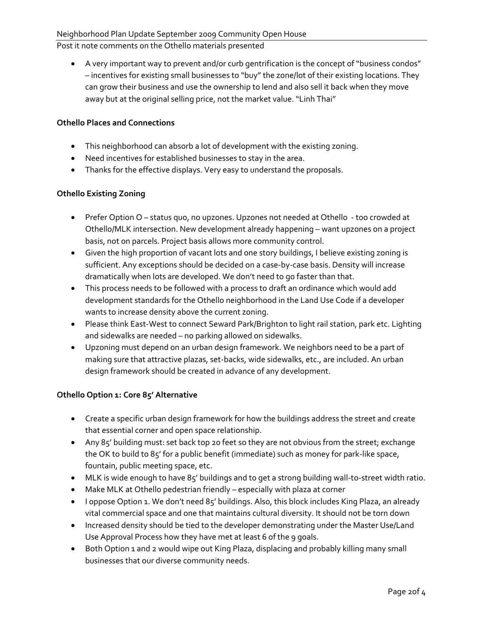• A very important way to prevent and/or curb gentrification is the concept of "business condos" – incentives for existing small businesses to "buy" the zone/lot of their existing locations. They can grow their business and use the ownership to lend and also sell it back when they move away but at the original selling price, not the market value. "Linh Thai"

## **Othello Places and Connections**

- This neighborhood can absorb a lot of development with the existing zoning.
- Need incentives for established businesses to stay in the area.
- Thanks for the effective displays. Very easy to understand the proposals.

# **Othello Existing Zoning**

- Prefer Option O status quo, no upzones. Upzones not needed at Othello ‐ too crowded at Othello/MLK intersection. New development already happening – want upzones on a project basis, not on parcels. Project basis allows more community control.
- Given the high proportion of vacant lots and one story buildings, I believe existing zoning is sufficient. Any exceptions should be decided on a case‐by‐case basis. Density will increase dramatically when lots are developed. We don't need to go faster than that.
- This process needs to be followed with a process to draft an ordinance which would add development standards for the Othello neighborhood in the Land Use Code if a developer wants to increase density above the current zoning.
- Please think East-West to connect Seward Park/Brighton to light rail station, park etc. Lighting and sidewalks are needed – no parking allowed on sidewalks.
- Upzoning must depend on an urban design framework. We neighbors need to be a part of making sure that attractive plazas, set‐backs, wide sidewalks, etc., are included. An urban design framework should be created in advance of any development.

# **Othello Option 1: Core 85' Alternative**

- Create a specific urban design framework for how the buildings address the street and create that essential corner and open space relationship.
- Any 85' building must: set back top 20 feet so they are not obvious from the street; exchange the OK to build to 85' for a public benefit (immediate) such as money for park‐like space, fountain, public meeting space, etc.
- MLK is wide enough to have 85' buildings and to get a strong building wall-to-street width ratio.
- Make MLK at Othello pedestrian friendly especially with plaza at corner
- I oppose Option 1. We don't need 85' buildings. Also, this block includes King Plaza, an already vital commercial space and one that maintains cultural diversity. It should not be torn down
- Increased density should be tied to the developer demonstrating under the Master Use/Land Use Approval Process how they have met at least 6 of the 9 goals.
- Both Option 1 and 2 would wipe out King Plaza, displacing and probably killing many small businesses that our diverse community needs.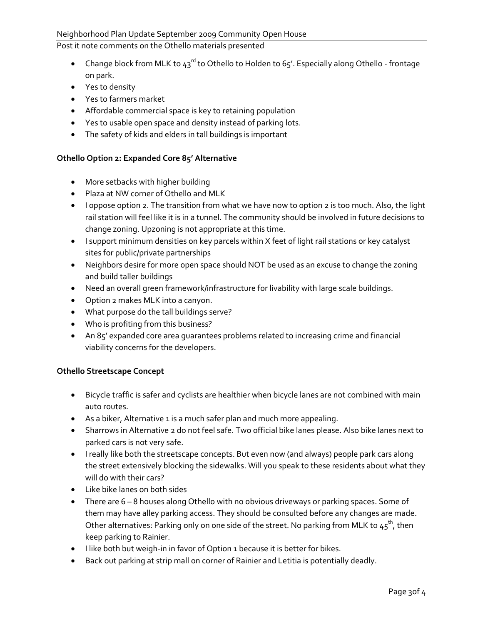- Change block from MLK to  $43^{\text{rd}}$  to Othello to Holden to 65'. Especially along Othello frontage on park.
- Yes to density
- Yes to farmers market
- Affordable commercial space is key to retaining population
- Yes to usable open space and density instead of parking lots.
- The safety of kids and elders in tall buildings is important

## **Othello Option 2: Expanded Core 85' Alternative**

- More setbacks with higher building
- Plaza at NW corner of Othello and MLK
- I oppose option 2. The transition from what we have now to option 2 is too much. Also, the light rail station will feel like it is in a tunnel. The community should be involved in future decisions to change zoning. Upzoning is not appropriate at this time.
- I support minimum densities on key parcels within X feet of light rail stations or key catalyst sites for public/private partnerships
- Neighbors desire for more open space should NOT be used as an excuse to change the zoning and build taller buildings
- Need an overall green framework/infrastructure for livability with large scale buildings.
- Option 2 makes MLK into a canyon.
- What purpose do the tall buildings serve?
- Who is profiting from this business?
- An 85' expanded core area guarantees problems related to increasing crime and financial viability concerns for the developers.

#### **Othello Streetscape Concept**

- Bicycle traffic is safer and cyclists are healthier when bicycle lanes are not combined with main auto routes.
- As a biker, Alternative 1 is a much safer plan and much more appealing.
- Sharrows in Alternative 2 do not feel safe. Two official bike lanes please. Also bike lanes next to parked cars is not very safe.
- I really like both the streetscape concepts. But even now (and always) people park cars along the street extensively blocking the sidewalks. Will you speak to these residents about what they will do with their cars?
- Like bike lanes on both sides
- There are 6 8 houses along Othello with no obvious driveways or parking spaces. Some of them may have alley parking access. They should be consulted before any changes are made. Other alternatives: Parking only on one side of the street. No parking from MLK to  $45^{\text{th}}$ , then keep parking to Rainier.
- I like both but weigh-in in favor of Option 1 because it is better for bikes.
- Back out parking at strip mall on corner of Rainier and Letitia is potentially deadly.